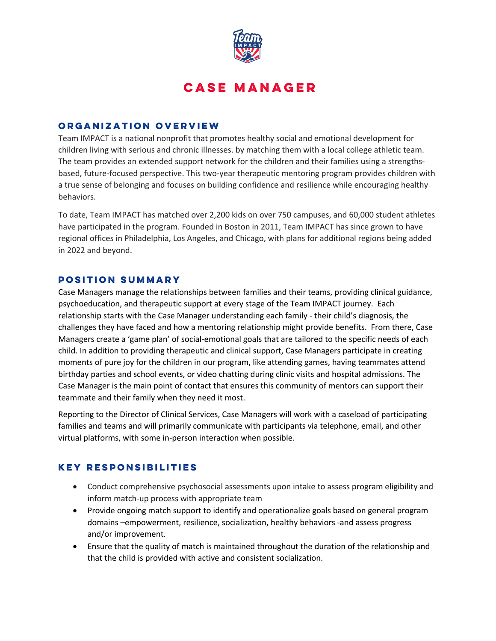

# **Case Manager**

### **Organization Overview**

Team IMPACT is a national nonprofit that promotes healthy social and emotional development for children living with serious and chronic illnesses. by matching them with a local college athletic team. The team provides an extended support network for the children and their families using a strengthsbased, future-focused perspective. This two-year therapeutic mentoring program provides children with a true sense of belonging and focuses on building confidence and resilience while encouraging healthy behaviors.

To date, Team IMPACT has matched over 2,200 kids on over 750 campuses, and 60,000 student athletes have participated in the program. Founded in Boston in 2011, Team IMPACT has since grown to have regional offices in Philadelphia, Los Angeles, and Chicago, with plans for additional regions being added in 2022 and beyond.

#### **Position Summary**

Case Managers manage the relationships between families and their teams, providing clinical guidance, psychoeducation, and therapeutic support at every stage of the Team IMPACT journey. Each relationship starts with the Case Manager understanding each family - their child's diagnosis, the challenges they have faced and how a mentoring relationship might provide benefits. From there, Case Managers create a 'game plan' of social-emotional goals that are tailored to the specific needs of each child. In addition to providing therapeutic and clinical support, Case Managers participate in creating moments of pure joy for the children in our program, like attending games, having teammates attend birthday parties and school events, or video chatting during clinic visits and hospital admissions. The Case Manager is the main point of contact that ensures this community of mentors can support their teammate and their family when they need it most.

Reporting to the Director of Clinical Services, Case Managers will work with a caseload of participating families and teams and will primarily communicate with participants via telephone, email, and other virtual platforms, with some in-person interaction when possible.

## **KEY RESPONSIBILITIES**

- Conduct comprehensive psychosocial assessments upon intake to assess program eligibility and inform match-up process with appropriate team
- Provide ongoing match support to identify and operationalize goals based on general program domains –empowerment, resilience, socialization, healthy behaviors -and assess progress and/or improvement.
- Ensure that the quality of match is maintained throughout the duration of the relationship and that the child is provided with active and consistent socialization.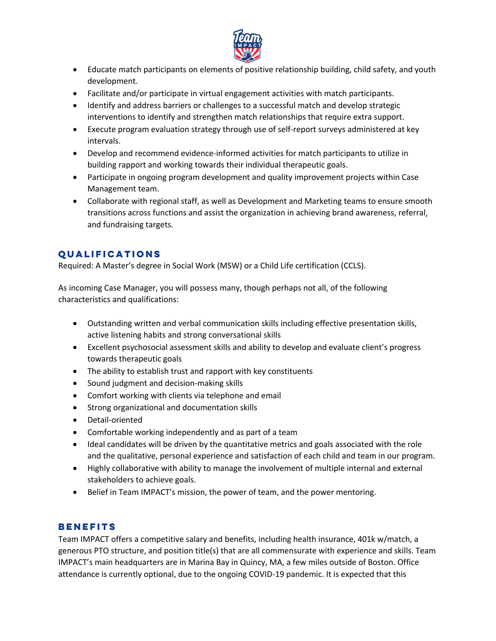

- Educate match participants on elements of positive relationship building, child safety, and youth development.
- Facilitate and/or participate in virtual engagement activities with match participants.
- Identify and address barriers or challenges to a successful match and develop strategic interventions to identify and strengthen match relationships that require extra support.
- Execute program evaluation strategy through use of self-report surveys administered at key intervals.
- Develop and recommend evidence-informed activities for match participants to utilize in building rapport and working towards their individual therapeutic goals.
- Participate in ongoing program development and quality improvement projects within Case Management team.
- Collaborate with regional staff, as well as Development and Marketing teams to ensure smooth transitions across functions and assist the organization in achieving brand awareness, referral, and fundraising targets.

# **Qualifications**

Required: A Master's degree in Social Work (MSW) or a Child Life certification (CCLS).

As incoming Case Manager, you will possess many, though perhaps not all, of the following characteristics and qualifications:

- Outstanding written and verbal communication skills including effective presentation skills, active listening habits and strong conversational skills
- Excellent psychosocial assessment skills and ability to develop and evaluate client's progress towards therapeutic goals
- The ability to establish trust and rapport with key constituents
- Sound judgment and decision-making skills
- Comfort working with clients via telephone and email
- Strong organizational and documentation skills
- Detail-oriented
- Comfortable working independently and as part of a team
- Ideal candidates will be driven by the quantitative metrics and goals associated with the role and the qualitative, personal experience and satisfaction of each child and team in our program.
- Highly collaborative with ability to manage the involvement of multiple internal and external stakeholders to achieve goals.
- Belief in Team IMPACT's mission, the power of team, and the power mentoring.

# **BENEFITS**

Team IMPACT offers a competitive salary and benefits, including health insurance, 401k w/match, a generous PTO structure, and position title(s) that are all commensurate with experience and skills. Team IMPACT's main headquarters are in Marina Bay in Quincy, MA, a few miles outside of Boston. Office attendance is currently optional, due to the ongoing COVID-19 pandemic. It is expected that this